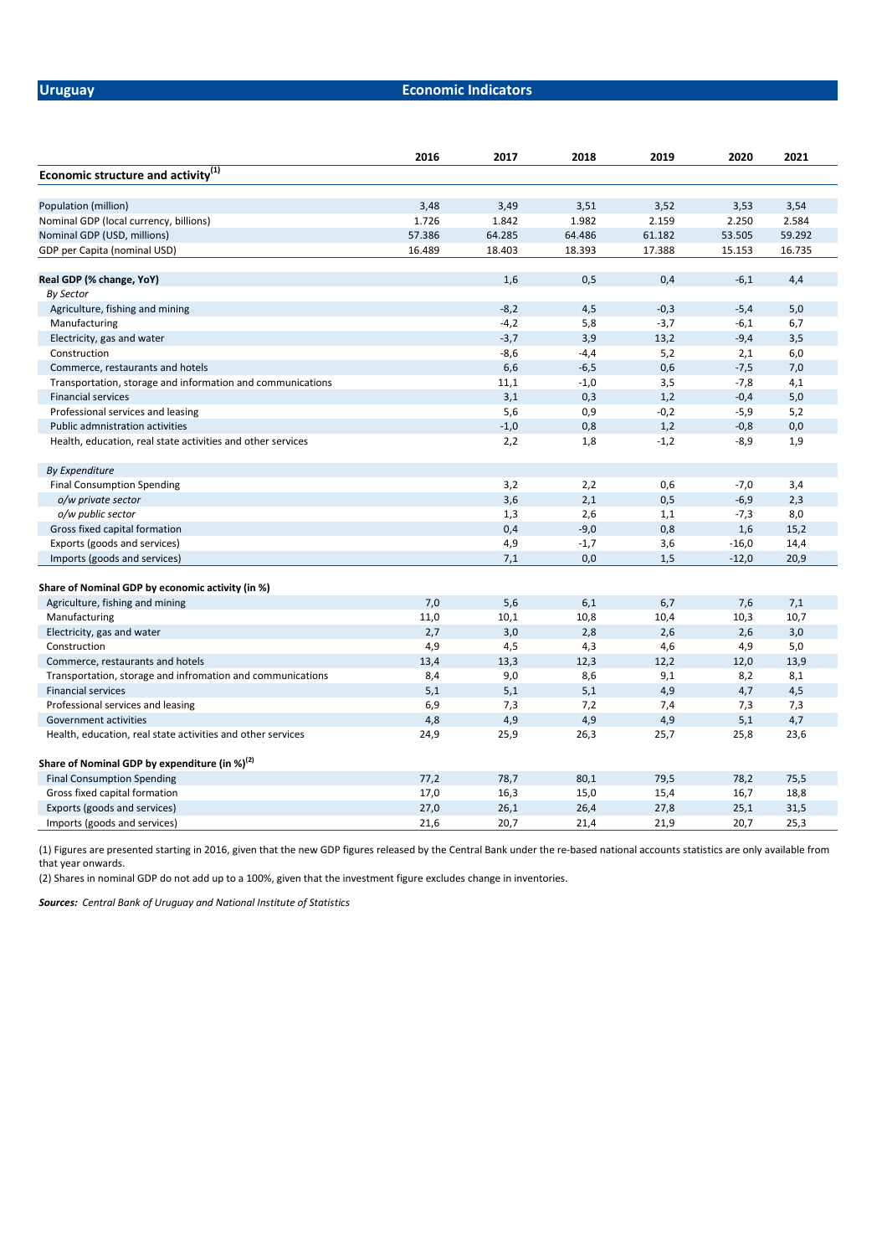# **Uruguay Economic Indicators**

|                                                             | 2016   | 2017   | 2018   | 2019   | 2020    | 2021   |
|-------------------------------------------------------------|--------|--------|--------|--------|---------|--------|
| Economic structure and activity <sup>(1)</sup>              |        |        |        |        |         |        |
| Population (million)                                        | 3,48   | 3,49   | 3,51   | 3,52   | 3,53    | 3,54   |
| Nominal GDP (local currency, billions)                      | 1.726  | 1.842  | 1.982  | 2.159  | 2.250   | 2.584  |
| Nominal GDP (USD, millions)                                 | 57.386 | 64.285 | 64.486 | 61.182 | 53.505  | 59.292 |
| GDP per Capita (nominal USD)                                | 16.489 | 18.403 | 18.393 | 17.388 | 15.153  | 16.735 |
| Real GDP (% change, YoY)                                    |        | 1,6    | 0,5    | 0,4    | $-6,1$  | 4,4    |
| By Sector                                                   |        |        |        |        |         |        |
| Agriculture, fishing and mining                             |        | $-8,2$ | 4,5    | $-0,3$ | $-5,4$  | 5,0    |
| Manufacturing                                               |        | $-4,2$ | 5,8    | $-3,7$ | $-6,1$  | 6,7    |
| Electricity, gas and water                                  |        | $-3,7$ | 3,9    | 13,2   | $-9,4$  | 3,5    |
| Construction                                                |        | $-8,6$ | $-4,4$ | 5,2    | 2,1     | 6,0    |
| Commerce, restaurants and hotels                            |        | 6,6    | $-6,5$ | 0,6    | $-7,5$  | 7,0    |
| Transportation, storage and information and communications  |        | 11,1   | $-1,0$ | 3,5    | $-7,8$  | 4,1    |
| <b>Financial services</b>                                   |        | 3,1    | 0,3    | 1,2    | $-0,4$  | 5,0    |
| Professional services and leasing                           |        | 5,6    | 0,9    | $-0,2$ | $-5,9$  | 5,2    |
| Public admnistration activities                             |        | $-1,0$ | 0,8    | 1,2    | $-0,8$  | 0,0    |
| Health, education, real state activities and other services |        | 2,2    | 1,8    | $-1,2$ | $-8,9$  | 1,9    |
| <b>By Expenditure</b>                                       |        |        |        |        |         |        |
| <b>Final Consumption Spending</b>                           |        | 3,2    | 2,2    | 0,6    | $-7,0$  | 3,4    |
| o/w private sector                                          |        | 3,6    | 2,1    | 0,5    | $-6,9$  | 2,3    |
| o/w public sector                                           |        | 1,3    | 2,6    | 1,1    | $-7,3$  | 8,0    |
| Gross fixed capital formation                               |        | 0,4    | $-9,0$ | 0,8    | 1,6     | 15,2   |
| Exports (goods and services)                                |        | 4,9    | $-1,7$ | 3,6    | $-16,0$ | 14,4   |
| Imports (goods and services)                                |        | 7,1    | 0,0    | 1,5    | $-12,0$ | 20,9   |
| Share of Nominal GDP by economic activity (in %)            |        |        |        |        |         |        |
| Agriculture, fishing and mining                             | 7,0    | 5,6    | 6,1    | 6,7    | 7,6     | 7,1    |
| Manufacturing                                               | 11,0   | 10,1   | 10,8   | 10,4   | 10,3    | 10,7   |
| Electricity, gas and water                                  | 2,7    | 3,0    | 2,8    | 2,6    | 2,6     | 3,0    |
| Construction                                                | 4,9    | 4,5    | 4,3    | 4,6    | 4,9     | 5,0    |
| Commerce, restaurants and hotels                            | 13,4   | 13,3   | 12,3   | 12,2   | 12,0    | 13,9   |
| Transportation, storage and infromation and communications  | 8,4    | 9,0    | 8,6    | 9,1    | 8,2     | 8,1    |
| <b>Financial services</b>                                   | 5,1    | 5,1    | 5,1    | 4,9    | 4,7     | 4,5    |
| Professional services and leasing                           | 6,9    | 7,3    | 7,2    | 7,4    | 7,3     | 7,3    |
| Government activities                                       | 4,8    | 4,9    | 4,9    | 4,9    | 5,1     | 4,7    |
| Health, education, real state activities and other services | 24,9   | 25,9   | 26,3   | 25,7   | 25,8    | 23,6   |
| Share of Nominal GDP by expenditure (in %) $^{(2)}$         |        |        |        |        |         |        |
| <b>Final Consumption Spending</b>                           | 77,2   | 78,7   | 80,1   | 79,5   | 78,2    | 75,5   |
| Gross fixed capital formation                               | 17,0   | 16,3   | 15,0   | 15,4   | 16,7    | 18,8   |
| Exports (goods and services)                                | 27,0   | 26,1   | 26,4   | 27,8   | 25,1    | 31,5   |
| Imports (goods and services)                                | 21,6   | 20,7   | 21,4   | 21,9   | 20,7    | 25,3   |

(1) Figures are presented starting in 2016, given that the new GDP figures released by the Central Bank under the re-based national accounts statistics are only available from that year onwards.

(2) Shares in nominal GDP do not add up to a 100%, given that the investment figure excludes change in inventories.

*Sources: Central Bank of Uruguay and National Institute of Statistics*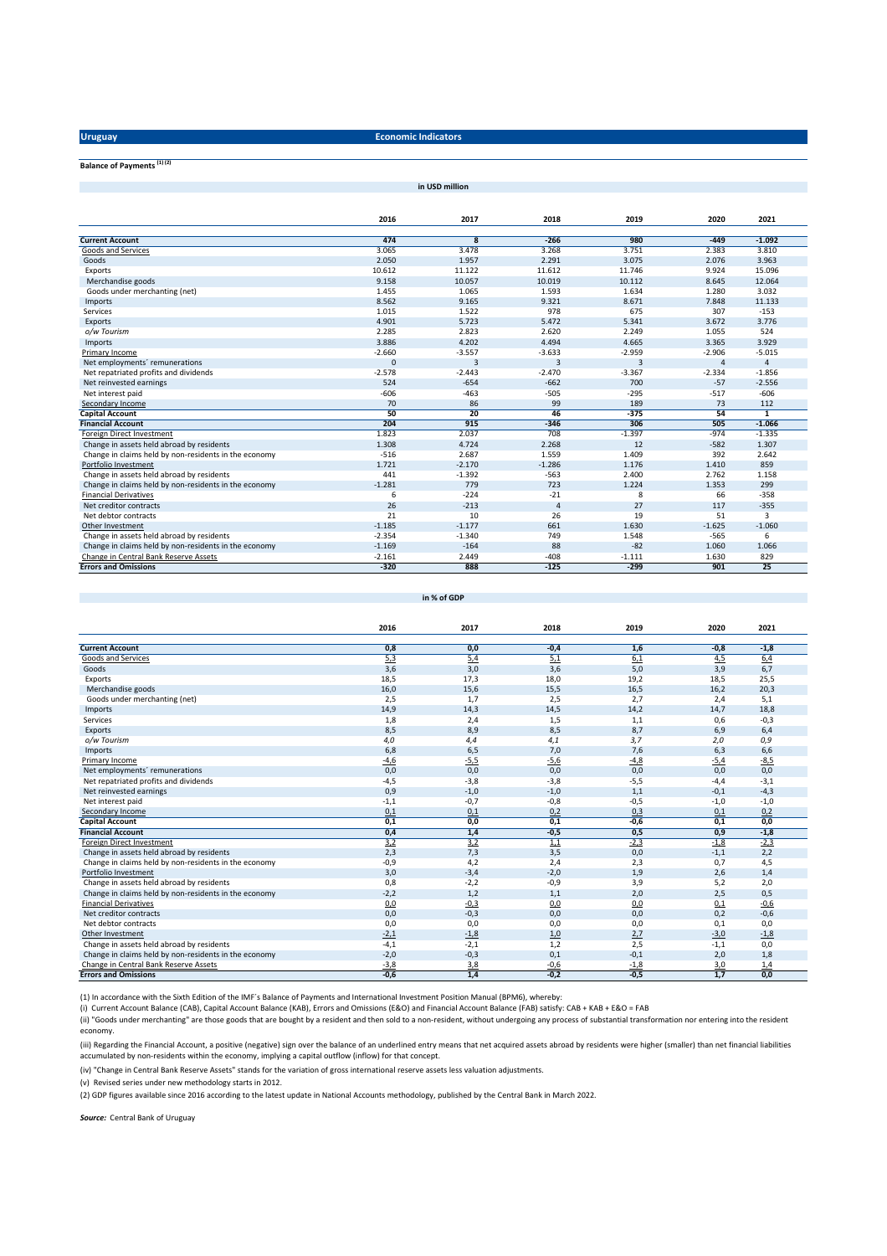**Uruguay Economic Indicators** 

**in USD million**

## **Balance of Payments (1) (2)**

**2016 2017 2018 2019 2020 2021 Current Account 474 8 -266 980 -449 -1.092** Goods and Services **3.065** 3.478 3.268 3.751 3.3810 3.3810 3.3810 3.3810 3.3610 3.751 3.383 3.810 Goods 2.050 1.957 2.291 3.075 2.076 3.963 Exports 10.612 11.122 11.612 11.746 9.924 15.096<br>Merchandise goods 12.064 15.096 9.158 10.057 10.019 10.112 8.645 12.064 Goods under merchanting (net) 1.455 1.634 1.634 1.634 1.634 1.280 3.032<br>
Imports 1.634 11.133 1.655 9.321 8.671 7.848 11.133 Imports 8.562 9.165 9.321 8.671 7.848 11.133 Services 1.015 1.522 978 675 307 -153 Exports 4.901 5.723 5.472 5.341 3.672 3.776 *o/w Tourism* 2.285 2.823 2.620 2.249 1.055 524 Imports 3.886 4.202 4.494 4.665 3.365 3.929 1.0.3 -2.906 -3.57 -3.660 -3.557 -3.633 -2.959 -2.906 -5.015 -5.015 -5.015 -3.633 -2.959 -2.906 -5.015 Net employments´ remunerations 0 3 3 3 4 4 Net repatriated profits and dividends -2.578 -2.443 -2.470 -3.367 -2.334 -1.856 Net reinvested earnings 524 -654 -662 700 -57 -2.556 Net interest paid and the state of the state of the state of the state of the state of the state of the state of the state of the state of the state of the state of the state of the state of the state of the state of the s Secondary Income 70 86 99 189 73 112 **Capital Account 50 20 46 -375 54 1 Financial Account 204 915 -346 306 505 -1.066** Poreign Direct Investment 1.823 1.823 - 1.335 - 1.325 - 1.325 - 1.325 - 1.325 - 1.325 - 1.325 - 1.325 - 1.325<br>1.307 - 1.307 - 1.307 - 1.307 - 1.307 - 1.307 - 1.307 - 1.307 - 1.307 - 1.307 - 1.307 - 1.307 - 1.307 - 1.307 Change in claims held by non-residents in the economy **1.721** 1.721 1.286 1.286 1.409 2.642<br>Portfolio Investment 1.410 859 1.721 1.286 1.176 1.176 1.410 859 Change in assets held abroad by residents<br>
Change in claims held by non-residents in the economy<br>  $\begin{array}{cccc}\n & 441 & -1.392 & -563 & 2.400 & 2.762 & 1.158 \\
 & -1.281 & 779 & 723 & 1.224 & 1.353 & 299 \\
\hline\n\text{Financial Derivatives} & & & & & \\
 & & & & & \\
\hline\n\end{array}$ Change in claims held by non-residents in the economy -1.281 779 723 1.224 1.353 299<br>
Financial Derivatives 6 -224 -21 8 6 -358 Financial Derivatives 6 -358 -358 -358 -359 -224 -224 -21 -21 8 -2258 -358 Net creditor contracts<br>
Net creditor contracts<br>
Net debtor contracts<br>
Net debtor contracts<br>
21 10 26 19 51 3 000 Net debtor contracts and the contracts and the contracts and the contracts contracts and the contracts contracts and the contracts of the contracts of the contracts contracts and the contracts contracts contracts contr 0ther Investment 1.625 -1.060 -1.177 -1.185 -1.177 -1.177 -1.177 -1.630 -1.625 -1.060 Change in assets held abroad by residents -2.354 -1.340 749 1.548 -565 6 Change in claims held by non-residents in the economy -1.169 -1.169 -1.169 -1.164 -88 -82 -82 1.060 -1.066 -1.066<br>Change in Central Bank Reserve Assets -2.262 -2.161 -2.449 -2.449 -408 -1.111 -1.630 -829 **Errors and Omissions -320 888 -125 -299 901 25**

#### **in % of GDP**

|                                                       | 2016   | 2017   | 2018   | 2019   | 2020   | 2021   |  |
|-------------------------------------------------------|--------|--------|--------|--------|--------|--------|--|
| <b>Current Account</b>                                | 0,8    | 0,0    | $-0,4$ | 1,6    | $-0,8$ | $-1,8$ |  |
| Goods and Services                                    | 5,3    | 5,4    | 5,1    | 6,1    | 4,5    | 6,4    |  |
| Goods                                                 | 3,6    | 3,0    | 3,6    | 5,0    | 3,9    | 6,7    |  |
| Exports                                               | 18,5   | 17,3   | 18,0   | 19,2   | 18,5   | 25,5   |  |
| Merchandise goods                                     | 16,0   | 15,6   | 15,5   | 16,5   | 16,2   | 20,3   |  |
| Goods under merchanting (net)                         | 2,5    | 1,7    | 2,5    | 2,7    | 2,4    | 5,1    |  |
| Imports                                               | 14,9   | 14,3   | 14,5   | 14,2   | 14,7   | 18,8   |  |
| Services                                              | 1,8    | 2,4    | 1,5    | 1,1    | 0,6    | $-0,3$ |  |
| Exports                                               | 8,5    | 8,9    | 8,5    | 8,7    | 6,9    | 6,4    |  |
| o/w Tourism                                           | 4,0    | 4,4    | 4,1    | 3,7    | 2,0    | 0,9    |  |
| Imports                                               | 6,8    | 6,5    | 7,0    | 7,6    | 6,3    | 6, 6   |  |
| Primary Income                                        | $-4,6$ | $-5,5$ | $-5,6$ | $-4,8$ | $-5,4$ | $-8,5$ |  |
| Net employments' remunerations                        | 0,0    | 0,0    | 0,0    | 0,0    | 0.0    | 0,0    |  |
| Net repatriated profits and dividends                 | $-4,5$ | $-3,8$ | $-3,8$ | $-5,5$ | $-4,4$ | $-3,1$ |  |
| Net reinvested earnings                               | 0,9    | $-1,0$ | $-1,0$ | 1,1    | $-0,1$ | $-4,3$ |  |
| Net interest paid                                     | $-1,1$ | $-0,7$ | $-0,8$ | $-0,5$ | $-1,0$ | $-1,0$ |  |
| Secondary Income                                      | 0,1    | 0,1    | 0.2    | 0,3    | 0,1    | 0,2    |  |
| <b>Capital Account</b>                                | 0,1    | 0,0    | 0,1    | $-0,6$ | 0,1    | 0,0    |  |
| <b>Financial Account</b>                              | 0,4    | 1,4    | $-0,5$ | 0,5    | 0,9    | $-1,8$ |  |
| Foreign Direct Investment                             | 3,2    | 3,2    | 1,1    | $-2,3$ | $-1,8$ | $-2,3$ |  |
| Change in assets held abroad by residents             | 2,3    | 7,3    | 3,5    | 0,0    | $-1,1$ | 2,2    |  |
| Change in claims held by non-residents in the economy | $-0,9$ | 4,2    | 2,4    | 2,3    | 0,7    | 4,5    |  |
| Portfolio Investment                                  | 3,0    | $-3,4$ | $-2,0$ | 1,9    | 2,6    | 1,4    |  |
| Change in assets held abroad by residents             | 0,8    | $-2,2$ | $-0,9$ | 3,9    | 5,2    | 2,0    |  |
| Change in claims held by non-residents in the economy | $-2,2$ | 1,2    | 1,1    | 2,0    | 2,5    | 0,5    |  |
| <b>Financial Derivatives</b>                          | 0,0    | $-0,3$ | 0,0    | 0,0    | 0,1    | $-0.6$ |  |
| Net creditor contracts                                | 0,0    | $-0,3$ | 0,0    | 0,0    | 0,2    | $-0,6$ |  |
| Net debtor contracts                                  | 0,0    | 0,0    | 0,0    | 0.0    | 0,1    | 0,0    |  |
| Other Investment                                      | $-2,1$ | $-1,8$ | 1,0    | 2,7    | $-3,0$ | $-1,8$ |  |
| Change in assets held abroad by residents             | $-4,1$ | $-2,1$ | 1,2    | 2,5    | $-1,1$ | 0,0    |  |
| Change in claims held by non-residents in the economy | $-2,0$ | $-0,3$ | 0,1    | $-0,1$ | 2,0    | 1,8    |  |
| Change in Central Bank Reserve Assets                 | $-3,8$ | 3,8    | $-0,6$ | $-1,8$ | 3,0    | 1,4    |  |
| <b>Errors and Omissions</b>                           | $-0.6$ | 1.4    | $-0.2$ | $-0.5$ | 1.7    | 0.0    |  |

(1) In accordance with the Sixth Edition of the IMF´s Balance of Payments and International Investment Position Manual (BPM6), whereby:

(i) Current Account Balance (CAB), Capital Account Balance (KAB), Errors and Omissions (E&O) and Financial Account Balance (FAB) satisfy: CAB + KAB + E&O = FAB

(ii) "Goods under merchanting" are those goods that are bought by a resident and then sold to a non-resident, without undergoing any process of substantial transformation nor entering into the resident economy.

(iii) Regarding the Financial Account, a positive (negative) sign over the balance of an underlined entry means that net acquired assets abroad by residents were higher (smaller) than net financial liabilities accumulated by non-residents within the economy, implying a capital outflow (inflow) for that concept.

(iv) "Change in Central Bank Reserve Assets" stands for the variation of gross international reserve assets less valuation adjustments.

(v) Revised series under new methodology starts in 2012.

(2) GDP figures available since 2016 according to the latest update in National Accounts methodology, published by the Central Bank in March 2022.

*Source:* Central Bank of Uruguay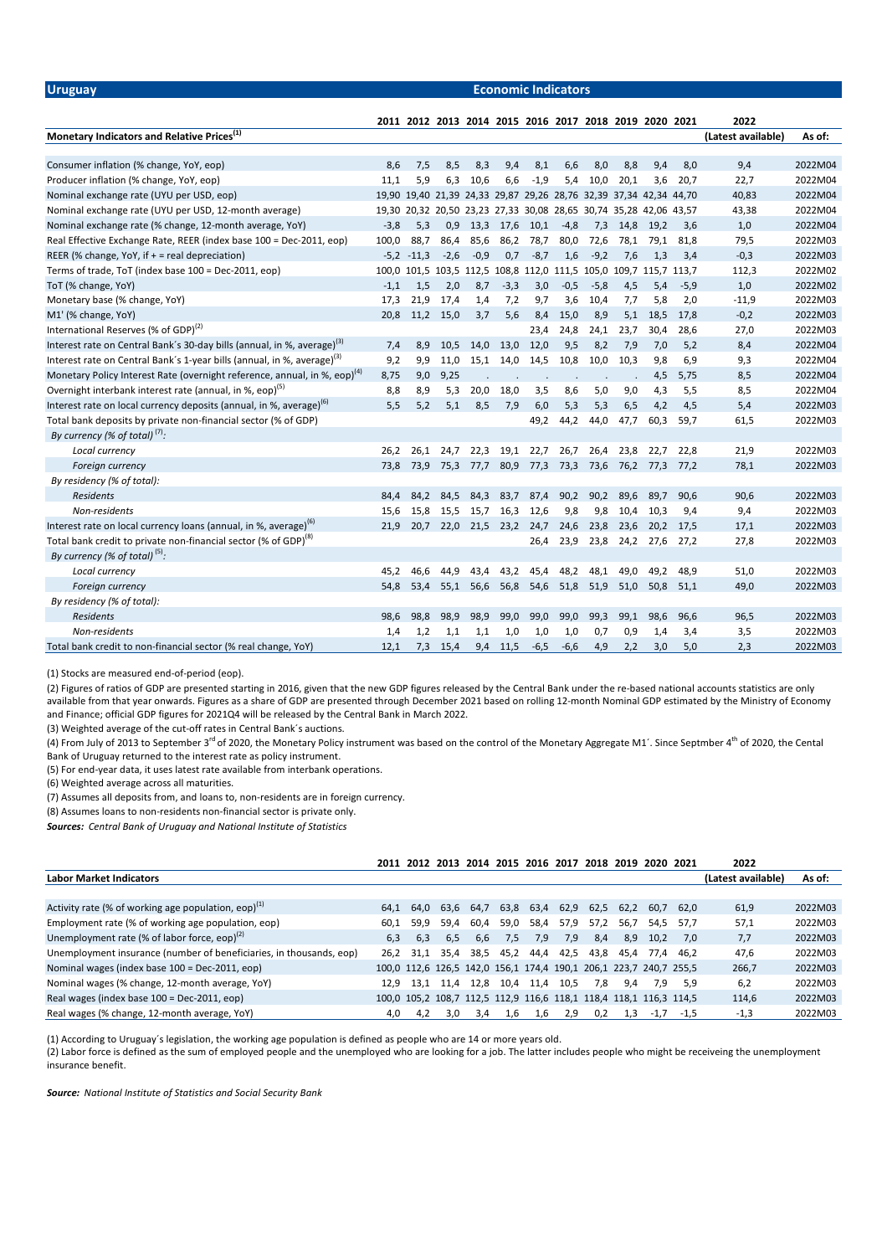**Uruguay Economic Indicators**

|                                                                                       |        |              |           |           |           |           | 2011 2012 2013 2014 2015 2016 2017 2018 2019 2020 2021            |        |      |                |           | 2022               |         |
|---------------------------------------------------------------------------------------|--------|--------------|-----------|-----------|-----------|-----------|-------------------------------------------------------------------|--------|------|----------------|-----------|--------------------|---------|
| Monetary Indicators and Relative Prices <sup>(1)</sup>                                |        |              |           |           |           |           |                                                                   |        |      |                |           | (Latest available) | As of:  |
|                                                                                       |        |              |           |           |           |           |                                                                   |        |      |                |           |                    |         |
| Consumer inflation (% change, YoY, eop)                                               | 8,6    | 7,5          | 8,5       | 8,3       | 9,4       | 8,1       | 6.6                                                               | 8,0    | 8.8  | 9.4            | 8.0       | 9,4                | 2022M04 |
| Producer inflation (% change, YoY, eop)                                               | 11,1   | 5,9          | 6,3       | 10,6      | 6,6       | $-1,9$    | 5,4                                                               | 10,0   | 20,1 | 3,6            | 20,7      | 22,7               | 2022M04 |
| Nominal exchange rate (UYU per USD, eop)                                              |        |              |           |           |           |           | 19,90 19,40 21,39 24,33 29,87 29,26 28,76 32,39 37,34 42,34 44,70 |        |      |                |           | 40,83              | 2022M04 |
| Nominal exchange rate (UYU per USD, 12-month average)                                 |        |              |           |           |           |           | 19,30 20,32 20,50 23,23 27,33 30,08 28,65 30,74 35,28 42,06 43,57 |        |      |                |           | 43,38              | 2022M04 |
| Nominal exchange rate (% change, 12-month average, YoY)                               | $-3,8$ | 5,3          | 0,9       | 13,3      |           | 17,6 10,1 | $-4,8$                                                            | 7,3    | 14,8 | 19,2           | 3,6       | 1,0                | 2022M04 |
| Real Effective Exchange Rate, REER (index base 100 = Dec-2011, eop)                   | 100,0  | 88,7         | 86,4      | 85,6      | 86,2      | 78,7      | 80,0                                                              | 72,6   | 78,1 | 79,1           | 81,8      | 79,5               | 2022M03 |
| REER (% change, YoY, if $+$ = real depreciation)                                      |        | $-5.2 -11.3$ | $-2,6$    | $-0,9$    | 0,7       | $-8,7$    | 1,6                                                               | $-9,2$ | 7.6  | 1,3            | 3,4       | $-0,3$             | 2022M03 |
| Terms of trade, ToT (index base 100 = Dec-2011, eop)                                  |        |              |           |           |           |           | 100,0 101,5 103,5 112,5 108,8 112,0 111,5 105,0 109,7 115,7 113,7 |        |      |                |           | 112,3              | 2022M02 |
| ToT (% change, YoY)                                                                   | $-1,1$ | 1,5          | 2,0       | 8,7       | $-3,3$    | 3,0       | $-0,5$                                                            | $-5,8$ | 4,5  | 5,4            | $-5,9$    | 1,0                | 2022M02 |
| Monetary base (% change, YoY)                                                         | 17,3   | 21,9         | 17,4      | 1,4       | 7,2       | 9,7       | 3,6                                                               | 10,4   | 7,7  | 5,8            | 2,0       | $-11,9$            | 2022M03 |
| M1' (% change, YoY)                                                                   | 20,8   |              | 11,2 15,0 | 3,7       | 5,6       | 8,4       | 15,0                                                              | 8,9    | 5,1  | 18,5           | 17,8      | $-0,2$             | 2022M03 |
| International Reserves (% of GDP) <sup>(2)</sup>                                      |        |              |           |           |           | 23,4      | 24,8                                                              | 24,1   | 23,7 | 30,4           | 28,6      | 27,0               | 2022M03 |
| Interest rate on Central Bank's 30-day bills (annual, in %, average) <sup>(3)</sup>   | 7,4    | 8,9          | 10,5      | 14,0      | 13,0      | 12,0      | 9,5                                                               | 8,2    | 7,9  | 7,0            | 5,2       | 8,4                | 2022M04 |
| Interest rate on Central Bank's 1-year bills (annual, in %, average) <sup>(3)</sup>   | 9,2    | 9,9          | 11,0      |           | 15,1 14,0 | 14,5      | 10,8                                                              | 10,0   | 10,3 | 9,8            | 6,9       | 9,3                | 2022M04 |
| Monetary Policy Interest Rate (overnight reference, annual, in %, eop) <sup>(4)</sup> | 8,75   | 9,0          | 9,25      |           |           |           |                                                                   |        |      | 4,5            | 5,75      | 8,5                | 2022M04 |
| Overnight interbank interest rate (annual, in %, eop) <sup>(5)</sup>                  | 8,8    | 8,9          | 5,3       | 20,0      | 18,0      | 3,5       | 8,6                                                               | 5,0    | 9,0  | 4,3            | 5,5       | 8,5                | 2022M04 |
| Interest rate on local currency deposits (annual, in %, average) <sup>(b)</sup>       | 5,5    | 5,2          | 5,1       | 8,5       | 7,9       | 6,0       | 5,3                                                               | 5,3    | 6,5  | 4,2            | 4,5       | 5,4                | 2022M03 |
| Total bank deposits by private non-financial sector (% of GDP)                        |        |              |           |           |           | 49,2      | 44,2                                                              | 44,0   | 47,7 | 60,3           | 59,7      | 61,5               | 2022M03 |
| By currency (% of total) <sup>(7)</sup> :                                             |        |              |           |           |           |           |                                                                   |        |      |                |           |                    |         |
| Local currency                                                                        | 26,2   | 26,1         | 24,7      | 22,3      | 19,1      | 22,7      | 26,7                                                              | 26,4   | 23,8 | 22,7           | 22,8      | 21,9               | 2022M03 |
| Foreign currency                                                                      | 73,8   | 73,9         |           |           |           |           | 75,3 77,7 80,9 77,3 73,3 73,6                                     |        |      | 76,2 77,3 77,2 |           | 78,1               | 2022M03 |
| By residency (% of total):                                                            |        |              |           |           |           |           |                                                                   |        |      |                |           |                    |         |
| <b>Residents</b>                                                                      | 84,4   | 84,2         | 84,5      | 84,3      | 83,7      | 87,4      | 90,2                                                              | 90,2   | 89,6 | 89,7           | 90,6      | 90,6               | 2022M03 |
| Non-residents                                                                         | 15,6   | 15,8         | 15,5      | 15,7      | 16,3      | 12,6      | 9,8                                                               | 9,8    | 10,4 | 10,3           | 9,4       | 9,4                | 2022M03 |
| Interest rate on local currency loans (annual, in %, average) <sup>(b)</sup>          | 21.9   | 20.7         |           | 22,0 21,5 | 23,2      | 24,7      | 24,6                                                              | 23,8   | 23,6 | 20.2           | 17,5      | 17,1               | 2022M03 |
| Total bank credit to private non-financial sector (% of GDP) <sup>(8)</sup>           |        |              |           |           |           | 26,4      | 23,9                                                              | 23,8   |      | 24,2 27,6 27,2 |           | 27,8               | 2022M03 |
| By currency (% of total) $^{(5)}$ :                                                   |        |              |           |           |           |           |                                                                   |        |      |                |           |                    |         |
| Local currency                                                                        | 45,2   | 46,6         | 44,9      | 43,4      | 43,2      | 45,4      | 48,2                                                              | 48,1   | 49,0 | 49,2           | 48,9      | 51,0               | 2022M03 |
| Foreign currency                                                                      | 54,8   | 53,4         |           | 55,1 56,6 | 56,8      | 54,6      | 51,8                                                              | 51,9   | 51,0 |                | 50,8 51,1 | 49,0               | 2022M03 |
| By residency (% of total):                                                            |        |              |           |           |           |           |                                                                   |        |      |                |           |                    |         |
| Residents                                                                             | 98,6   | 98,8         | 98,9      | 98,9      | 99,0      | 99,0      | 99,0                                                              | 99,3   | 99,1 | 98,6           | 96,6      | 96,5               | 2022M03 |
| Non-residents                                                                         | 1,4    | 1,2          | 1,1       | 1,1       | 1,0       | 1,0       | 1,0                                                               | 0,7    | 0,9  | 1,4            | 3,4       | 3,5                | 2022M03 |
| Total bank credit to non-financial sector (% real change, YoY)                        | 12,1   | 7,3          | 15,4      | 9,4       | 11,5      | $-6,5$    | $-6,6$                                                            | 4,9    | 2,2  | 3,0            | 5.0       | 2,3                | 2022M03 |

(1) Stocks are measured end-of-period (eop).

(2) Figures of ratios of GDP are presented starting in 2016, given that the new GDP figures released by the Central Bank under the re-based national accounts statistics are only available from that year onwards. Figures as a share of GDP are presented through December 2021 based on rolling 12-month Nominal GDP estimated by the Ministry of Economy and Finance; official GDP figures for 2021Q4 will be released by the Central Bank in March 2022.

(3) Weighted average of the cut-off rates in Central Bank´s auctions.

(4) From July of 2013 to September 3<sup>rd</sup> of 2020, the Monetary Policy instrument was based on the control of the Monetary Aggregate M1´. Since Septmber 4<sup>th</sup> of 2020, the Cental Bank of Uruguay returned to the interest rate as policy instrument.

(5) For end-year data, it uses latest rate available from interbank operations.

(6) Weighted average across all maturities.

(7) Assumes all deposits from, and loans to, non-residents are in foreign currency.

(8) Assumes loans to non-residents non-financial sector is private only.

*Sources: Central Bank of Uruguay and National Institute of Statistics*

|                                                                     |      |      |      |      | 2011 2012 2013 2014 2015 2016 2017                                |           |      |      |      | 2018 2019 2020 2021 |        | 2022               |         |
|---------------------------------------------------------------------|------|------|------|------|-------------------------------------------------------------------|-----------|------|------|------|---------------------|--------|--------------------|---------|
| <b>Labor Market Indicators</b>                                      |      |      |      |      |                                                                   |           |      |      |      |                     |        | (Latest available) | As of:  |
|                                                                     |      |      |      |      |                                                                   |           |      |      |      |                     |        |                    |         |
| Activity rate (% of working age population, eop) $(1)$              | 64.1 | 64.0 | 63.6 | 64,7 | 63,8                                                              | 63,4      | 62,9 | 62,5 | 62.2 | 60.7                | 62.0   | 61,9               | 2022M03 |
| Employment rate (% of working age population, eop)                  | 60,1 | 59.9 | 59,4 | 60,4 | 59,0                                                              | 58,4      | 57,9 | 57,2 | 56,7 | 54.5                | 57.7   | 57,1               | 2022M03 |
| Unemployment rate (% of labor force, eop) $^{(2)}$                  | 6.3  | 6.3  | 6.5  | 6.6  | 7,5                                                               | 7,9       | 7,9  | 8,4  | 8.9  | 10.2                | 7.0    | 7.7                | 2022M03 |
| Unemployment insurance (number of beneficiaries, in thousands, eop) | 26.2 | 31.1 | 35.4 | 38,5 | 45,2                                                              | 44,4      | 42,5 | 43.8 | 45.4 | 77.4                | 46.2   | 47,6               | 2022M03 |
| Nominal wages (index base 100 = Dec-2011, eop)                      |      |      |      |      | 100,0 112,6 126,5 142,0 156,1 174,4 190,1 206,1 223,7 240,7 255,5 |           |      |      |      |                     |        | 266,7              | 2022M03 |
| Nominal wages (% change, 12-month average, YoY)                     | 12.9 | 13.1 | 11,4 | 12.8 |                                                                   | 10,4 11,4 | 10,5 | 7.8  | 9.4  | 7.9                 | 5.9    | 6.2                | 2022M03 |
| Real wages (index base 100 = Dec-2011, eop)                         |      |      |      |      | 100,0 105,2 108,7 112,5 112,9 116,6 118,1 118,4 118,1 116,3 114,5 |           |      |      |      |                     |        | 114,6              | 2022M03 |
| Real wages (% change, 12-month average, YoY)                        | 4,0  | 4.2  | 3,0  | 3.4  | 1,6                                                               | 1.6       | 2.9  | 0,2  | 1,3  | $-1.7$              | $-1.5$ | $-1,3$             | 2022M03 |

(1) According to Uruguay´s legislation, the working age population is defined as people who are 14 or more years old.

(2) Labor force is defined as the sum of employed people and the unemployed who are looking for a job. The latter includes people who might be receiveing the unemployment insurance benefit.

*Source: National Institute of Statistics and Social Security Bank*